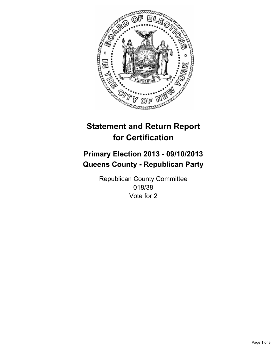

# **Statement and Return Report for Certification**

# **Primary Election 2013 - 09/10/2013 Queens County - Republican Party**

Republican County Committee 018/38 Vote for 2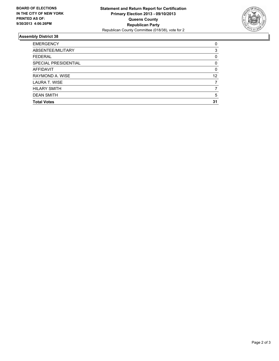

## **Assembly District 38**

| <b>EMERGENCY</b>     | 0        |
|----------------------|----------|
| ABSENTEE/MILITARY    | 3        |
| <b>FEDERAL</b>       | 0        |
| SPECIAL PRESIDENTIAL | $\Omega$ |
| AFFIDAVIT            | $\Omega$ |
| RAYMOND A. WISE      | 12       |
| LAURA T. WISE        |          |
| <b>HILARY SMITH</b>  |          |
| <b>DEAN SMITH</b>    | 5        |
| <b>Total Votes</b>   | 31       |